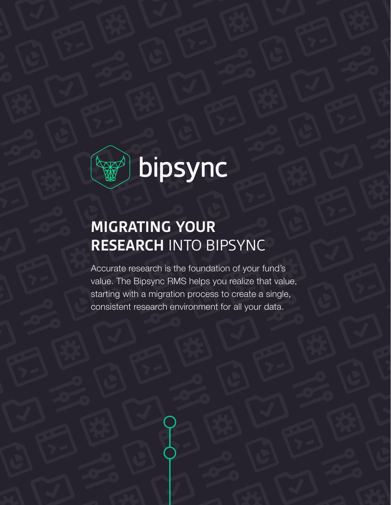

# **MIGRATING YOUR RESEARCH** INTO BIPSYNC

Accurate research is the foundation of your fund's value. The Bipsync RMS helps you realize that value, starting with a migration process to create a single, consistent research environment for all your data.